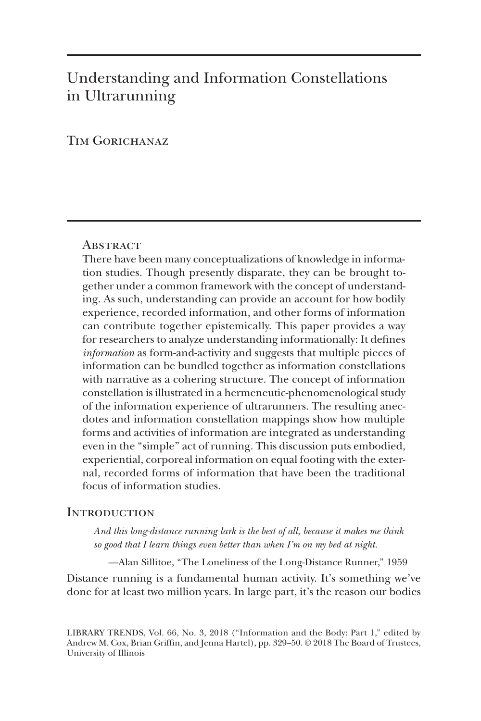# Understanding and Information Constellations in Ultrarunning

## Tim Gorichanaz

### **ABSTRACT**

There have been many conceptualizations of knowledge in information studies. Though presently disparate, they can be brought together under a common framework with the concept of understanding. As such, understanding can provide an account for how bodily experience, recorded information, and other forms of information can contribute together epistemically. This paper provides a way for researchers to analyze understanding informationally: It defines *information* as form-and-activity and suggests that multiple pieces of information can be bundled together as information constellations with narrative as a cohering structure. The concept of information constellation is illustrated in a hermeneutic-phenomenological study of the information experience of ultrarunners. The resulting anecdotes and information constellation mappings show how multiple forms and activities of information are integrated as understanding even in the "simple" act of running. This discussion puts embodied, experiential, corporeal information on equal footing with the external, recorded forms of information that have been the traditional focus of information studies.

### **INTRODUCTION**

*And this long-distance running lark is the best of all, because it makes me think so good that I learn things even better than when I'm on my bed at night.*

—Alan Sillitoe, "The Loneliness of the Long-Distance Runner," 1959

Distance running is a fundamental human activity. It's something we've done for at least two million years. In large part, it's the reason our bodies

LIBRARY TRENDS, Vol. 66, No. 3, 2018 ("Information and the Body: Part 1," edited by Andrew M. Cox, Brian Griffin, and Jenna Hartel), pp. 329–50. © 2018 The Board of Trustees, University of Illinois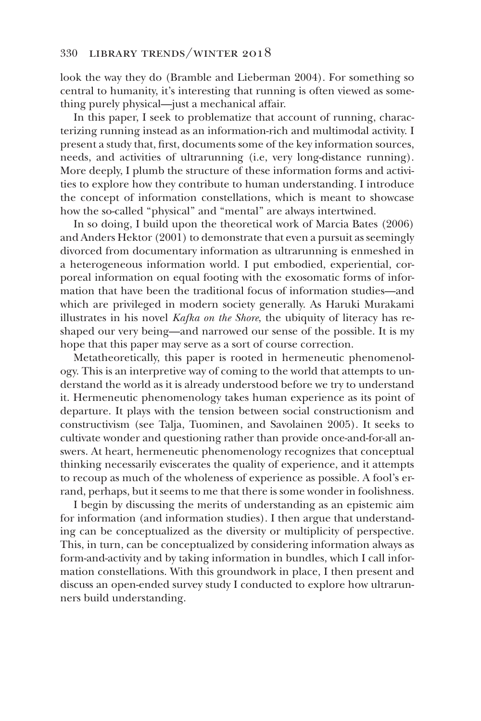look the way they do (Bramble and Lieberman 2004). For something so central to humanity, it's interesting that running is often viewed as something purely physical—just a mechanical affair.

In this paper, I seek to problematize that account of running, characterizing running instead as an information-rich and multimodal activity. I present a study that, first, documents some of the key information sources, needs, and activities of ultrarunning (i.e, very long-distance running). More deeply, I plumb the structure of these information forms and activities to explore how they contribute to human understanding. I introduce the concept of information constellations, which is meant to showcase how the so-called "physical" and "mental" are always intertwined.

In so doing, I build upon the theoretical work of Marcia Bates (2006) and Anders Hektor (2001) to demonstrate that even a pursuit as seemingly divorced from documentary information as ultrarunning is enmeshed in a heterogeneous information world. I put embodied, experiential, corporeal information on equal footing with the exosomatic forms of information that have been the traditional focus of information studies—and which are privileged in modern society generally. As Haruki Murakami illustrates in his novel *Kafka on the Shore*, the ubiquity of literacy has reshaped our very being—and narrowed our sense of the possible. It is my hope that this paper may serve as a sort of course correction.

Metatheoretically, this paper is rooted in hermeneutic phenomenology. This is an interpretive way of coming to the world that attempts to understand the world as it is already understood before we try to understand it. Hermeneutic phenomenology takes human experience as its point of departure. It plays with the tension between social constructionism and constructivism (see Talja, Tuominen, and Savolainen 2005). It seeks to cultivate wonder and questioning rather than provide once-and-for-all answers. At heart, hermeneutic phenomenology recognizes that conceptual thinking necessarily eviscerates the quality of experience, and it attempts to recoup as much of the wholeness of experience as possible. A fool's errand, perhaps, but it seems to me that there is some wonder in foolishness.

I begin by discussing the merits of understanding as an epistemic aim for information (and information studies). I then argue that understanding can be conceptualized as the diversity or multiplicity of perspective. This, in turn, can be conceptualized by considering information always as form-and-activity and by taking information in bundles, which I call information constellations. With this groundwork in place, I then present and discuss an open-ended survey study I conducted to explore how ultrarunners build understanding.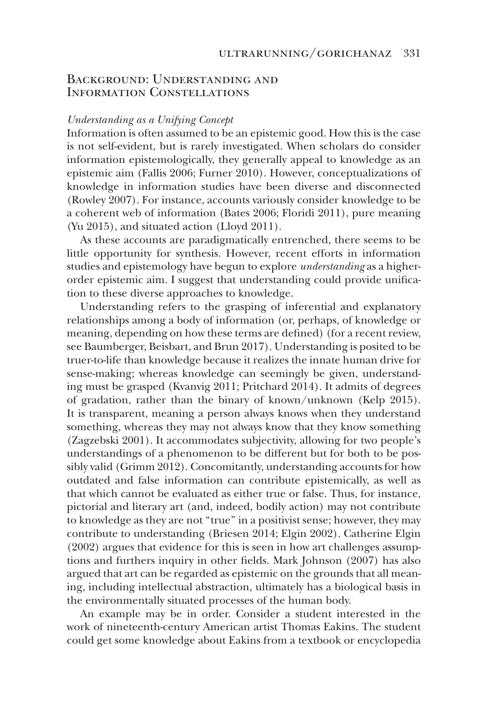### BACKGROUND: UNDERSTANDING AND Information Constellations

### *Understanding as a Unifying Concept*

Information is often assumed to be an epistemic good. How this is the case is not self-evident, but is rarely investigated. When scholars do consider information epistemologically, they generally appeal to knowledge as an epistemic aim (Fallis 2006; Furner 2010). However, conceptualizations of knowledge in information studies have been diverse and disconnected (Rowley 2007). For instance, accounts variously consider knowledge to be a coherent web of information (Bates 2006; Floridi 2011), pure meaning (Yu 2015), and situated action (Lloyd 2011).

As these accounts are paradigmatically entrenched, there seems to be little opportunity for synthesis. However, recent efforts in information studies and epistemology have begun to explore *understanding* as a higherorder epistemic aim. I suggest that understanding could provide unification to these diverse approaches to knowledge.

Understanding refers to the grasping of inferential and explanatory relationships among a body of information (or, perhaps, of knowledge or meaning, depending on how these terms are defined) (for a recent review, see Baumberger, Beisbart, and Brun 2017). Understanding is posited to be truer-to-life than knowledge because it realizes the innate human drive for sense-making; whereas knowledge can seemingly be given, understanding must be grasped (Kvanvig 2011; Pritchard 2014). It admits of degrees of gradation, rather than the binary of known/unknown (Kelp 2015). It is transparent, meaning a person always knows when they understand something, whereas they may not always know that they know something (Zagzebski 2001). It accommodates subjectivity, allowing for two people's understandings of a phenomenon to be different but for both to be possibly valid (Grimm 2012). Concomitantly, understanding accounts for how outdated and false information can contribute epistemically, as well as that which cannot be evaluated as either true or false. Thus, for instance, pictorial and literary art (and, indeed, bodily action) may not contribute to knowledge as they are not "true" in a positivist sense; however, they may contribute to understanding (Briesen 2014; Elgin 2002). Catherine Elgin (2002) argues that evidence for this is seen in how art challenges assumptions and furthers inquiry in other fields. Mark Johnson (2007) has also argued that art can be regarded as epistemic on the grounds that all meaning, including intellectual abstraction, ultimately has a biological basis in the environmentally situated processes of the human body.

An example may be in order. Consider a student interested in the work of nineteenth-century American artist Thomas Eakins. The student could get some knowledge about Eakins from a textbook or encyclopedia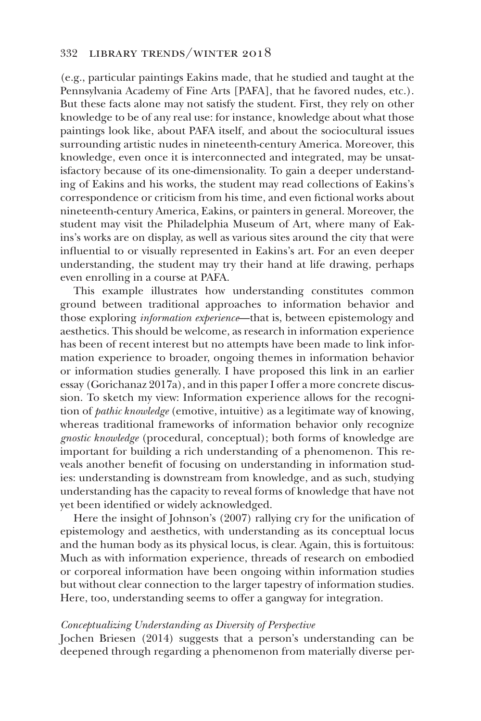(e.g., particular paintings Eakins made, that he studied and taught at the Pennsylvania Academy of Fine Arts [PAFA], that he favored nudes, etc.). But these facts alone may not satisfy the student. First, they rely on other knowledge to be of any real use: for instance, knowledge about what those paintings look like, about PAFA itself, and about the sociocultural issues surrounding artistic nudes in nineteenth-century America. Moreover, this knowledge, even once it is interconnected and integrated, may be unsatisfactory because of its one-dimensionality. To gain a deeper understanding of Eakins and his works, the student may read collections of Eakins's correspondence or criticism from his time, and even fictional works about nineteenth-century America, Eakins, or painters in general. Moreover, the student may visit the Philadelphia Museum of Art, where many of Eakins's works are on display, as well as various sites around the city that were influential to or visually represented in Eakins's art. For an even deeper understanding, the student may try their hand at life drawing, perhaps even enrolling in a course at PAFA.

This example illustrates how understanding constitutes common ground between traditional approaches to information behavior and those exploring *information experience*—that is, between epistemology and aesthetics. This should be welcome, as research in information experience has been of recent interest but no attempts have been made to link information experience to broader, ongoing themes in information behavior or information studies generally. I have proposed this link in an earlier essay (Gorichanaz 2017a), and in this paper I offer a more concrete discussion. To sketch my view: Information experience allows for the recognition of *pathic knowledge* (emotive, intuitive) as a legitimate way of knowing, whereas traditional frameworks of information behavior only recognize *gnostic knowledge* (procedural, conceptual); both forms of knowledge are important for building a rich understanding of a phenomenon. This reveals another benefit of focusing on understanding in information studies: understanding is downstream from knowledge, and as such, studying understanding has the capacity to reveal forms of knowledge that have not yet been identified or widely acknowledged.

Here the insight of Johnson's (2007) rallying cry for the unification of epistemology and aesthetics, with understanding as its conceptual locus and the human body as its physical locus, is clear. Again, this is fortuitous: Much as with information experience, threads of research on embodied or corporeal information have been ongoing within information studies but without clear connection to the larger tapestry of information studies. Here, too, understanding seems to offer a gangway for integration.

#### *Conceptualizing Understanding as Diversity of Perspective*

Jochen Briesen (2014) suggests that a person's understanding can be deepened through regarding a phenomenon from materially diverse per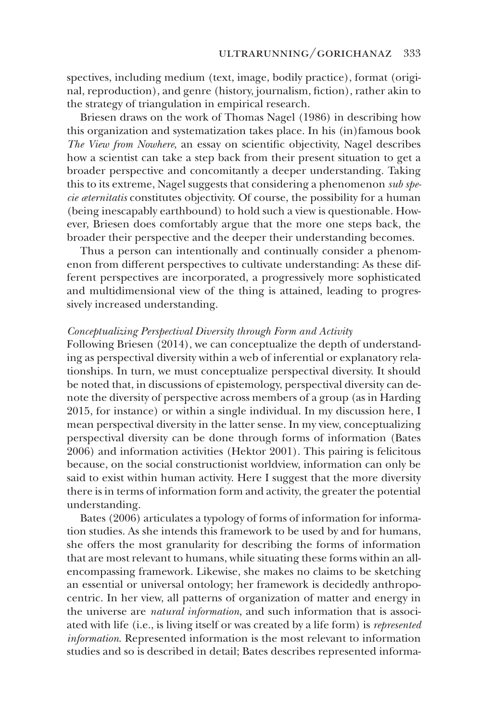spectives, including medium (text, image, bodily practice), format (original, reproduction), and genre (history, journalism, fiction), rather akin to the strategy of triangulation in empirical research.

Briesen draws on the work of Thomas Nagel (1986) in describing how this organization and systematization takes place. In his (in)famous book *The View from Nowhere*, an essay on scientific objectivity, Nagel describes how a scientist can take a step back from their present situation to get a broader perspective and concomitantly a deeper understanding. Taking this to its extreme, Nagel suggests that considering a phenomenon *sub specie æternitatis* constitutes objectivity. Of course, the possibility for a human (being inescapably earthbound) to hold such a view is questionable. However, Briesen does comfortably argue that the more one steps back, the broader their perspective and the deeper their understanding becomes.

Thus a person can intentionally and continually consider a phenomenon from different perspectives to cultivate understanding: As these different perspectives are incorporated, a progressively more sophisticated and multidimensional view of the thing is attained, leading to progressively increased understanding.

### *Conceptualizing Perspectival Diversity through Form and Activity*

Following Briesen (2014), we can conceptualize the depth of understanding as perspectival diversity within a web of inferential or explanatory relationships. In turn, we must conceptualize perspectival diversity. It should be noted that, in discussions of epistemology, perspectival diversity can denote the diversity of perspective across members of a group (as in Harding 2015, for instance) or within a single individual. In my discussion here, I mean perspectival diversity in the latter sense. In my view, conceptualizing perspectival diversity can be done through forms of information (Bates 2006) and information activities (Hektor 2001). This pairing is felicitous because, on the social constructionist worldview, information can only be said to exist within human activity. Here I suggest that the more diversity there is in terms of information form and activity, the greater the potential understanding.

Bates (2006) articulates a typology of forms of information for information studies. As she intends this framework to be used by and for humans, she offers the most granularity for describing the forms of information that are most relevant to humans, while situating these forms within an allencompassing framework. Likewise, she makes no claims to be sketching an essential or universal ontology; her framework is decidedly anthropocentric. In her view, all patterns of organization of matter and energy in the universe are *natural information*, and such information that is associated with life (i.e., is living itself or was created by a life form) is *represented information*. Represented information is the most relevant to information studies and so is described in detail; Bates describes represented informa-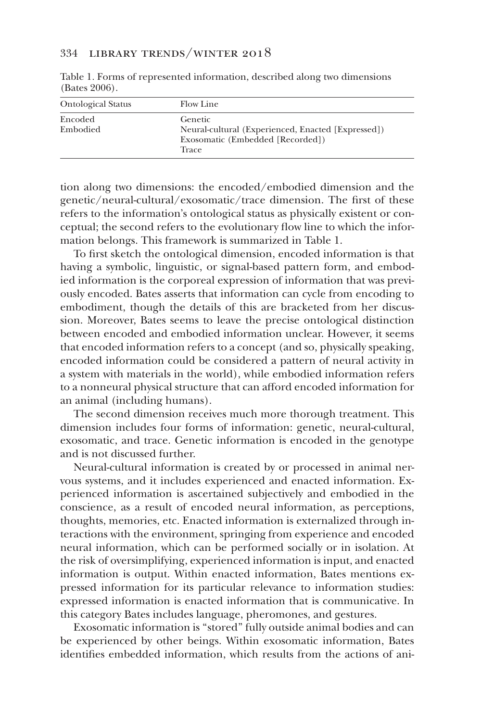| <b>Ontological Status</b> | Flow Line                                                                                                  |
|---------------------------|------------------------------------------------------------------------------------------------------------|
| Encoded<br>Embodied       | Genetic<br>Neural-cultural (Experienced, Enacted [Expressed])<br>Exosomatic (Embedded [Recorded])<br>Trace |

Table 1*.* Forms of represented information, described along two dimensions (Bates 2006).

tion along two dimensions: the encoded/embodied dimension and the genetic/neural-cultural/exosomatic/trace dimension. The first of these refers to the information's ontological status as physically existent or conceptual; the second refers to the evolutionary flow line to which the information belongs. This framework is summarized in Table 1.

To first sketch the ontological dimension, encoded information is that having a symbolic, linguistic, or signal-based pattern form, and embodied information is the corporeal expression of information that was previously encoded. Bates asserts that information can cycle from encoding to embodiment, though the details of this are bracketed from her discussion. Moreover, Bates seems to leave the precise ontological distinction between encoded and embodied information unclear. However, it seems that encoded information refers to a concept (and so, physically speaking, encoded information could be considered a pattern of neural activity in a system with materials in the world), while embodied information refers to a nonneural physical structure that can afford encoded information for an animal (including humans).

The second dimension receives much more thorough treatment. This dimension includes four forms of information: genetic, neural-cultural, exosomatic, and trace. Genetic information is encoded in the genotype and is not discussed further.

Neural-cultural information is created by or processed in animal nervous systems, and it includes experienced and enacted information. Experienced information is ascertained subjectively and embodied in the conscience, as a result of encoded neural information, as perceptions, thoughts, memories, etc. Enacted information is externalized through interactions with the environment, springing from experience and encoded neural information, which can be performed socially or in isolation. At the risk of oversimplifying, experienced information is input, and enacted information is output. Within enacted information, Bates mentions expressed information for its particular relevance to information studies: expressed information is enacted information that is communicative. In this category Bates includes language, pheromones, and gestures.

Exosomatic information is "stored" fully outside animal bodies and can be experienced by other beings. Within exosomatic information, Bates identifies embedded information, which results from the actions of ani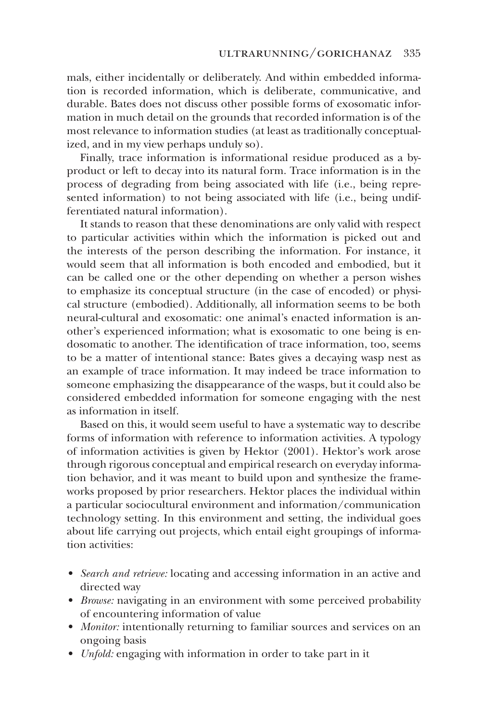mals, either incidentally or deliberately. And within embedded information is recorded information, which is deliberate, communicative, and durable. Bates does not discuss other possible forms of exosomatic information in much detail on the grounds that recorded information is of the most relevance to information studies (at least as traditionally conceptualized, and in my view perhaps unduly so).

Finally, trace information is informational residue produced as a byproduct or left to decay into its natural form. Trace information is in the process of degrading from being associated with life (i.e., being represented information) to not being associated with life (i.e., being undifferentiated natural information).

It stands to reason that these denominations are only valid with respect to particular activities within which the information is picked out and the interests of the person describing the information. For instance, it would seem that all information is both encoded and embodied, but it can be called one or the other depending on whether a person wishes to emphasize its conceptual structure (in the case of encoded) or physical structure (embodied). Additionally, all information seems to be both neural-cultural and exosomatic: one animal's enacted information is another's experienced information; what is exosomatic to one being is endosomatic to another. The identification of trace information, too, seems to be a matter of intentional stance: Bates gives a decaying wasp nest as an example of trace information. It may indeed be trace information to someone emphasizing the disappearance of the wasps, but it could also be considered embedded information for someone engaging with the nest as information in itself.

Based on this, it would seem useful to have a systematic way to describe forms of information with reference to information activities. A typology of information activities is given by Hektor (2001). Hektor's work arose through rigorous conceptual and empirical research on everyday information behavior, and it was meant to build upon and synthesize the frameworks proposed by prior researchers. Hektor places the individual within a particular sociocultural environment and information/communication technology setting. In this environment and setting, the individual goes about life carrying out projects, which entail eight groupings of information activities:

- *• Search and retrieve:* locating and accessing information in an active and directed way
- *• Browse:* navigating in an environment with some perceived probability of encountering information of value
- *• Monitor:* intentionally returning to familiar sources and services on an ongoing basis
- *• Unfold:* engaging with information in order to take part in it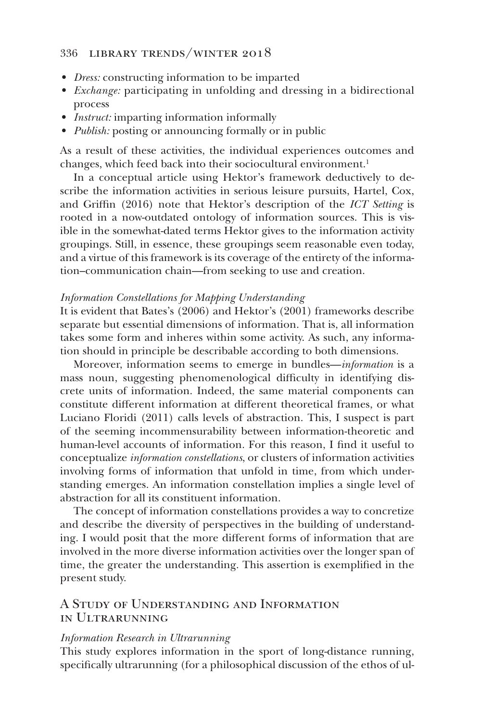- *• Dress:* constructing information to be imparted
- *• Exchange:* participating in unfolding and dressing in a bidirectional process
- *• Instruct:* imparting information informally
- *• Publish:* posting or announcing formally or in public

As a result of these activities, the individual experiences outcomes and changes, which feed back into their sociocultural environment.<sup>1</sup>

In a conceptual article using Hektor's framework deductively to describe the information activities in serious leisure pursuits, Hartel, Cox, and Griffin (2016) note that Hektor's description of the *ICT Setting* is rooted in a now-outdated ontology of information sources. This is visible in the somewhat-dated terms Hektor gives to the information activity groupings. Still, in essence, these groupings seem reasonable even today, and a virtue of this framework is its coverage of the entirety of the information–communication chain—from seeking to use and creation.

#### *Information Constellations for Mapping Understanding*

It is evident that Bates's (2006) and Hektor's (2001) frameworks describe separate but essential dimensions of information. That is, all information takes some form and inheres within some activity. As such, any information should in principle be describable according to both dimensions.

Moreover, information seems to emerge in bundles—*information* is a mass noun, suggesting phenomenological difficulty in identifying discrete units of information. Indeed, the same material components can constitute different information at different theoretical frames, or what Luciano Floridi (2011) calls levels of abstraction. This, I suspect is part of the seeming incommensurability between information-theoretic and human-level accounts of information. For this reason, I find it useful to conceptualize *information constellations*, or clusters of information activities involving forms of information that unfold in time, from which understanding emerges. An information constellation implies a single level of abstraction for all its constituent information.

The concept of information constellations provides a way to concretize and describe the diversity of perspectives in the building of understanding. I would posit that the more different forms of information that are involved in the more diverse information activities over the longer span of time, the greater the understanding. This assertion is exemplified in the present study.

### A Study of Understanding and Information in Ultrarunning

#### *Information Research in Ultrarunning*

This study explores information in the sport of long-distance running, specifically ultrarunning (for a philosophical discussion of the ethos of ul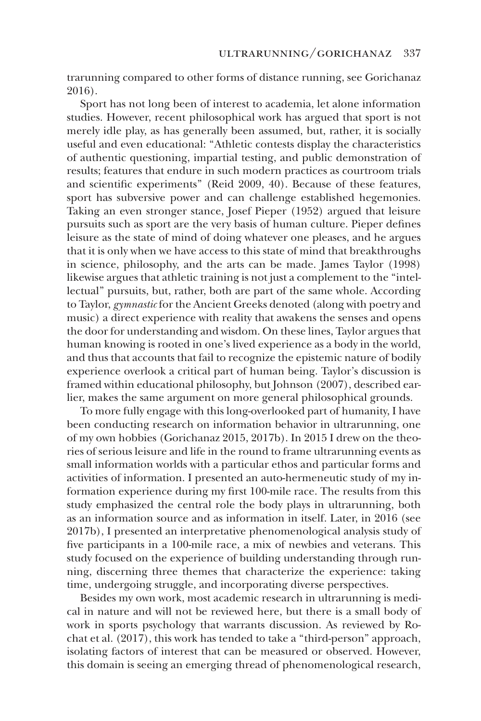trarunning compared to other forms of distance running, see Gorichanaz 2016).

Sport has not long been of interest to academia, let alone information studies. However, recent philosophical work has argued that sport is not merely idle play, as has generally been assumed, but, rather, it is socially useful and even educational: "Athletic contests display the characteristics of authentic questioning, impartial testing, and public demonstration of results; features that endure in such modern practices as courtroom trials and scientific experiments" (Reid 2009, 40). Because of these features, sport has subversive power and can challenge established hegemonies. Taking an even stronger stance, Josef Pieper (1952) argued that leisure pursuits such as sport are the very basis of human culture. Pieper defines leisure as the state of mind of doing whatever one pleases, and he argues that it is only when we have access to this state of mind that breakthroughs in science, philosophy, and the arts can be made. James Taylor (1998) likewise argues that athletic training is not just a complement to the "intellectual" pursuits, but, rather, both are part of the same whole. According to Taylor, *gymnastic* for the Ancient Greeks denoted (along with poetry and music) a direct experience with reality that awakens the senses and opens the door for understanding and wisdom. On these lines, Taylor argues that human knowing is rooted in one's lived experience as a body in the world, and thus that accounts that fail to recognize the epistemic nature of bodily experience overlook a critical part of human being. Taylor's discussion is framed within educational philosophy, but Johnson (2007), described earlier, makes the same argument on more general philosophical grounds.

To more fully engage with this long-overlooked part of humanity, I have been conducting research on information behavior in ultrarunning, one of my own hobbies (Gorichanaz 2015, 2017b). In 2015 I drew on the theories of serious leisure and life in the round to frame ultrarunning events as small information worlds with a particular ethos and particular forms and activities of information. I presented an auto-hermeneutic study of my information experience during my first 100-mile race. The results from this study emphasized the central role the body plays in ultrarunning, both as an information source and as information in itself. Later, in 2016 (see 2017b), I presented an interpretative phenomenological analysis study of five participants in a 100-mile race, a mix of newbies and veterans. This study focused on the experience of building understanding through running, discerning three themes that characterize the experience: taking time, undergoing struggle, and incorporating diverse perspectives.

Besides my own work, most academic research in ultrarunning is medical in nature and will not be reviewed here, but there is a small body of work in sports psychology that warrants discussion. As reviewed by Rochat et al. (2017), this work has tended to take a "third-person" approach, isolating factors of interest that can be measured or observed. However, this domain is seeing an emerging thread of phenomenological research,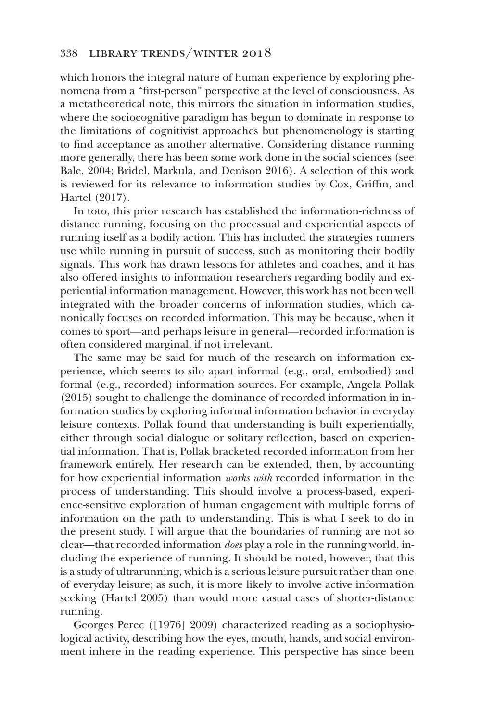which honors the integral nature of human experience by exploring phenomena from a "first-person" perspective at the level of consciousness. As a metatheoretical note, this mirrors the situation in information studies, where the sociocognitive paradigm has begun to dominate in response to the limitations of cognitivist approaches but phenomenology is starting to find acceptance as another alternative. Considering distance running more generally, there has been some work done in the social sciences (see Bale, 2004; Bridel, Markula, and Denison 2016). A selection of this work is reviewed for its relevance to information studies by Cox, Griffin, and Hartel (2017).

In toto, this prior research has established the information-richness of distance running, focusing on the processual and experiential aspects of running itself as a bodily action. This has included the strategies runners use while running in pursuit of success, such as monitoring their bodily signals. This work has drawn lessons for athletes and coaches, and it has also offered insights to information researchers regarding bodily and experiential information management. However, this work has not been well integrated with the broader concerns of information studies, which canonically focuses on recorded information. This may be because, when it comes to sport—and perhaps leisure in general—recorded information is often considered marginal, if not irrelevant.

The same may be said for much of the research on information experience, which seems to silo apart informal (e.g., oral, embodied) and formal (e.g., recorded) information sources. For example, Angela Pollak (2015) sought to challenge the dominance of recorded information in information studies by exploring informal information behavior in everyday leisure contexts. Pollak found that understanding is built experientially, either through social dialogue or solitary reflection, based on experiential information. That is, Pollak bracketed recorded information from her framework entirely. Her research can be extended, then, by accounting for how experiential information *works with* recorded information in the process of understanding. This should involve a process-based, experience-sensitive exploration of human engagement with multiple forms of information on the path to understanding. This is what I seek to do in the present study. I will argue that the boundaries of running are not so clear—that recorded information *does* play a role in the running world, including the experience of running. It should be noted, however, that this is a study of ultrarunning, which is a serious leisure pursuit rather than one of everyday leisure; as such, it is more likely to involve active information seeking (Hartel 2005) than would more casual cases of shorter-distance running.

Georges Perec ([1976] 2009) characterized reading as a sociophysiological activity, describing how the eyes, mouth, hands, and social environment inhere in the reading experience. This perspective has since been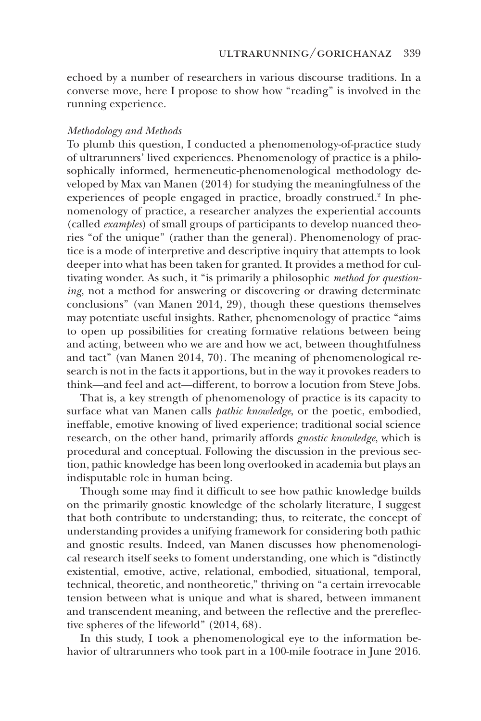echoed by a number of researchers in various discourse traditions. In a converse move, here I propose to show how "reading" is involved in the running experience.

#### *Methodology and Methods*

To plumb this question, I conducted a phenomenology-of-practice study of ultrarunners' lived experiences. Phenomenology of practice is a philosophically informed, hermeneutic-phenomenological methodology developed by Max van Manen (2014) for studying the meaningfulness of the experiences of people engaged in practice, broadly construed.<sup>2</sup> In phenomenology of practice, a researcher analyzes the experiential accounts (called *examples*) of small groups of participants to develop nuanced theories "of the unique" (rather than the general). Phenomenology of practice is a mode of interpretive and descriptive inquiry that attempts to look deeper into what has been taken for granted. It provides a method for cultivating wonder. As such, it "is primarily a philosophic *method for questioning*, not a method for answering or discovering or drawing determinate conclusions" (van Manen 2014, 29), though these questions themselves may potentiate useful insights. Rather, phenomenology of practice "aims to open up possibilities for creating formative relations between being and acting, between who we are and how we act, between thoughtfulness and tact" (van Manen 2014, 70). The meaning of phenomenological research is not in the facts it apportions, but in the way it provokes readers to think—and feel and act—different, to borrow a locution from Steve Jobs.

That is, a key strength of phenomenology of practice is its capacity to surface what van Manen calls *pathic knowledge*, or the poetic, embodied, ineffable, emotive knowing of lived experience; traditional social science research, on the other hand, primarily affords *gnostic knowledge*, which is procedural and conceptual. Following the discussion in the previous section, pathic knowledge has been long overlooked in academia but plays an indisputable role in human being.

Though some may find it difficult to see how pathic knowledge builds on the primarily gnostic knowledge of the scholarly literature, I suggest that both contribute to understanding; thus, to reiterate, the concept of understanding provides a unifying framework for considering both pathic and gnostic results. Indeed, van Manen discusses how phenomenological research itself seeks to foment understanding, one which is "distinctly existential, emotive, active, relational, embodied, situational, temporal, technical, theoretic, and nontheoretic," thriving on "a certain irrevocable tension between what is unique and what is shared, between immanent and transcendent meaning, and between the reflective and the prereflective spheres of the lifeworld" (2014, 68).

In this study, I took a phenomenological eye to the information behavior of ultrarunners who took part in a 100-mile footrace in June 2016.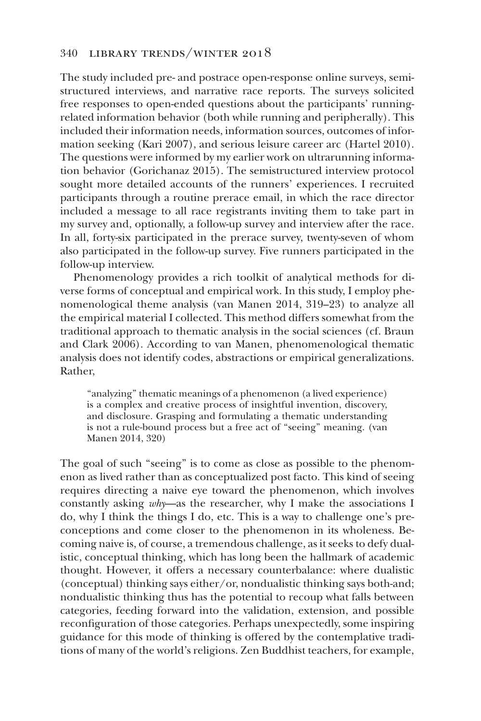The study included pre- and postrace open-response online surveys, semistructured interviews, and narrative race reports. The surveys solicited free responses to open-ended questions about the participants' runningrelated information behavior (both while running and peripherally). This included their information needs, information sources, outcomes of information seeking (Kari 2007), and serious leisure career arc (Hartel 2010). The questions were informed by my earlier work on ultrarunning information behavior (Gorichanaz 2015). The semistructured interview protocol sought more detailed accounts of the runners' experiences. I recruited participants through a routine prerace email, in which the race director included a message to all race registrants inviting them to take part in my survey and, optionally, a follow-up survey and interview after the race. In all, forty-six participated in the prerace survey, twenty-seven of whom also participated in the follow-up survey. Five runners participated in the follow-up interview.

Phenomenology provides a rich toolkit of analytical methods for diverse forms of conceptual and empirical work. In this study, I employ phenomenological theme analysis (van Manen 2014, 319–23) to analyze all the empirical material I collected. This method differs somewhat from the traditional approach to thematic analysis in the social sciences (cf. Braun and Clark 2006). According to van Manen, phenomenological thematic analysis does not identify codes, abstractions or empirical generalizations. Rather,

"analyzing" thematic meanings of a phenomenon (a lived experience) is a complex and creative process of insightful invention, discovery, and disclosure. Grasping and formulating a thematic understanding is not a rule-bound process but a free act of "seeing" meaning. (van Manen 2014, 320)

The goal of such "seeing" is to come as close as possible to the phenomenon as lived rather than as conceptualized post facto. This kind of seeing requires directing a naive eye toward the phenomenon, which involves constantly asking *why*—as the researcher, why I make the associations I do, why I think the things I do, etc. This is a way to challenge one's preconceptions and come closer to the phenomenon in its wholeness. Becoming naive is, of course, a tremendous challenge, as it seeks to defy dualistic, conceptual thinking, which has long been the hallmark of academic thought. However, it offers a necessary counterbalance: where dualistic (conceptual) thinking says either/or, nondualistic thinking says both-and; nondualistic thinking thus has the potential to recoup what falls between categories, feeding forward into the validation, extension, and possible reconfiguration of those categories. Perhaps unexpectedly, some inspiring guidance for this mode of thinking is offered by the contemplative traditions of many of the world's religions. Zen Buddhist teachers, for example,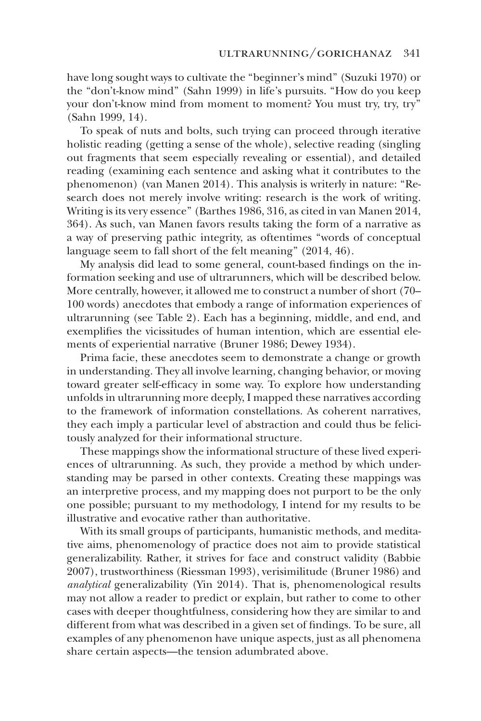have long sought ways to cultivate the "beginner's mind" (Suzuki 1970) or the "don't-know mind" (Sahn 1999) in life's pursuits. "How do you keep your don't-know mind from moment to moment? You must try, try, try" (Sahn 1999, 14).

To speak of nuts and bolts, such trying can proceed through iterative holistic reading (getting a sense of the whole), selective reading (singling out fragments that seem especially revealing or essential), and detailed reading (examining each sentence and asking what it contributes to the phenomenon) (van Manen 2014). This analysis is writerly in nature: "Research does not merely involve writing: research is the work of writing. Writing is its very essence" (Barthes 1986, 316, as cited in van Manen 2014, 364). As such, van Manen favors results taking the form of a narrative as a way of preserving pathic integrity, as oftentimes "words of conceptual language seem to fall short of the felt meaning" (2014, 46).

My analysis did lead to some general, count-based findings on the information seeking and use of ultrarunners, which will be described below. More centrally, however, it allowed me to construct a number of short (70– 100 words) anecdotes that embody a range of information experiences of ultrarunning (see Table 2). Each has a beginning, middle, and end, and exemplifies the vicissitudes of human intention, which are essential elements of experiential narrative (Bruner 1986; Dewey 1934).

Prima facie, these anecdotes seem to demonstrate a change or growth in understanding. They all involve learning, changing behavior, or moving toward greater self-efficacy in some way. To explore how understanding unfolds in ultrarunning more deeply, I mapped these narratives according to the framework of information constellations. As coherent narratives, they each imply a particular level of abstraction and could thus be felicitously analyzed for their informational structure.

These mappings show the informational structure of these lived experiences of ultrarunning. As such, they provide a method by which understanding may be parsed in other contexts. Creating these mappings was an interpretive process, and my mapping does not purport to be the only one possible; pursuant to my methodology, I intend for my results to be illustrative and evocative rather than authoritative.

With its small groups of participants, humanistic methods, and meditative aims, phenomenology of practice does not aim to provide statistical generalizability. Rather, it strives for face and construct validity (Babbie 2007), trustworthiness (Riessman 1993), verisimilitude (Bruner 1986) and *analytical* generalizability (Yin 2014). That is, phenomenological results may not allow a reader to predict or explain, but rather to come to other cases with deeper thoughtfulness, considering how they are similar to and different from what was described in a given set of findings. To be sure, all examples of any phenomenon have unique aspects, just as all phenomena share certain aspects—the tension adumbrated above.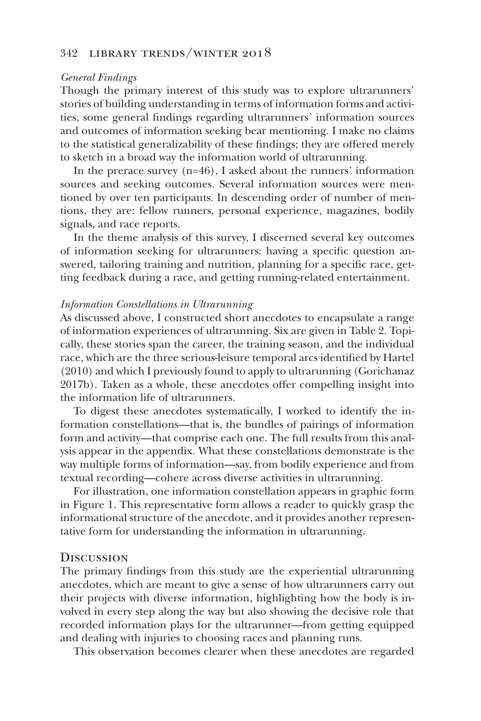### *General Findings*

Though the primary interest of this study was to explore ultrarunners' stories of building understanding in terms of information forms and activities, some general findings regarding ultrarunners' information sources and outcomes of information seeking bear mentioning. I make no claims to the statistical generalizability of these findings; they are offered merely to sketch in a broad way the information world of ultrarunning.

In the prerace survey (n=46), I asked about the runners' information sources and seeking outcomes. Several information sources were mentioned by over ten participants. In descending order of number of mentions, they are: fellow runners, personal experience, magazines, bodily signals, and race reports.

In the theme analysis of this survey, I discerned several key outcomes of information seeking for ultrarunners: having a specific question answered, tailoring training and nutrition, planning for a specific race, getting feedback during a race, and getting running-related entertainment.

#### *Information Constellations in Ultrarunning*

As discussed above, I constructed short anecdotes to encapsulate a range of information experiences of ultrarunning. Six are given in Table 2. Topically, these stories span the career, the training season, and the individual race, which are the three serious-leisure temporal arcs identified by Hartel (2010) and which I previously found to apply to ultrarunning (Gorichanaz 2017b). Taken as a whole, these anecdotes offer compelling insight into the information life of ultrarunners.

To digest these anecdotes systematically, I worked to identify the information constellations—that is, the bundles of pairings of information form and activity—that comprise each one. The full results from this analysis appear in the appendix. What these constellations demonstrate is the way multiple forms of information—say, from bodily experience and from textual recording—cohere across diverse activities in ultrarunning.

For illustration, one information constellation appears in graphic form in Figure 1. This representative form allows a reader to quickly grasp the informational structure of the anecdote, and it provides another representative form for understanding the information in ultrarunning.

### **Discussion**

The primary findings from this study are the experiential ultrarunning anecdotes, which are meant to give a sense of how ultrarunners carry out their projects with diverse information, highlighting how the body is involved in every step along the way but also showing the decisive role that recorded information plays for the ultrarunner—from getting equipped and dealing with injuries to choosing races and planning runs.

This observation becomes clearer when these anecdotes are regarded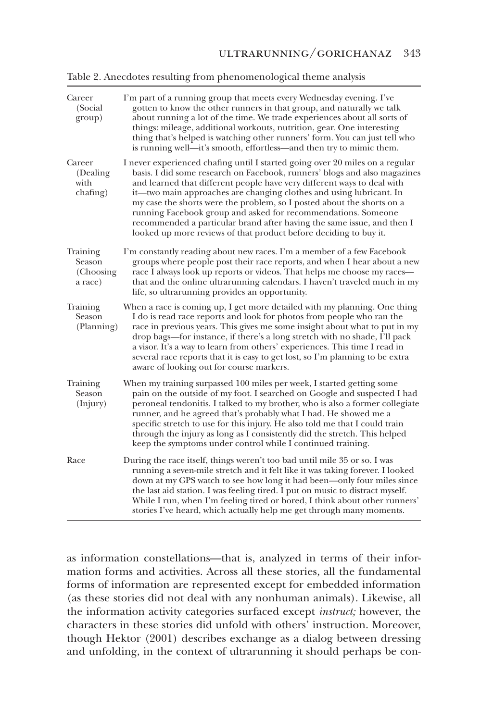| Career<br>(Social)<br>group)                | I'm part of a running group that meets every Wednesday evening. I've<br>gotten to know the other runners in that group, and naturally we talk<br>about running a lot of the time. We trade experiences about all sorts of<br>things: mileage, additional workouts, nutrition, gear. One interesting<br>thing that's helped is watching other runners' form. You can just tell who<br>is running well—it's smooth, effortless—and then try to mimic them.                                                                                                                                              |
|---------------------------------------------|-------------------------------------------------------------------------------------------------------------------------------------------------------------------------------------------------------------------------------------------------------------------------------------------------------------------------------------------------------------------------------------------------------------------------------------------------------------------------------------------------------------------------------------------------------------------------------------------------------|
| Career<br>(Dealing)<br>with<br>chafing)     | I never experienced chafing until I started going over 20 miles on a regular<br>basis. I did some research on Facebook, runners' blogs and also magazines<br>and learned that different people have very different ways to deal with<br>it—two main approaches are changing clothes and using lubricant. In<br>my case the shorts were the problem, so I posted about the shorts on a<br>running Facebook group and asked for recommendations. Someone<br>recommended a particular brand after having the same issue, and then I<br>looked up more reviews of that product before deciding to buy it. |
| Training<br>Season<br>(Choosing)<br>a race) | I'm constantly reading about new races. I'm a member of a few Facebook<br>groups where people post their race reports, and when I hear about a new<br>race I always look up reports or videos. That helps me choose my races—<br>that and the online ultrarunning calendars. I haven't traveled much in my<br>life, so ultrarunning provides an opportunity.                                                                                                                                                                                                                                          |
| Training<br>Season<br>(Planning)            | When a race is coming up, I get more detailed with my planning. One thing<br>I do is read race reports and look for photos from people who ran the<br>race in previous years. This gives me some insight about what to put in my<br>drop bags—for instance, if there's a long stretch with no shade, I'll pack<br>a visor. It's a way to learn from others' experiences. This time I read in<br>several race reports that it is easy to get lost, so I'm planning to be extra<br>aware of looking out for course markers.                                                                             |
| Training<br>Season<br>(Injury)              | When my training surpassed 100 miles per week, I started getting some<br>pain on the outside of my foot. I searched on Google and suspected I had<br>peroneal tendonitis. I talked to my brother, who is also a former collegiate<br>runner, and he agreed that's probably what I had. He showed me a<br>specific stretch to use for this injury. He also told me that I could train<br>through the injury as long as I consistently did the stretch. This helped<br>keep the symptoms under control while I continued training.                                                                      |
| Race                                        | During the race itself, things weren't too bad until mile 35 or so. I was<br>running a seven-mile stretch and it felt like it was taking forever. I looked<br>down at my GPS watch to see how long it had been—only four miles since<br>the last aid station. I was feeling tired. I put on music to distract myself.<br>While I run, when I'm feeling tired or bored, I think about other runners'<br>stories I've heard, which actually help me get through many moments.                                                                                                                           |

Table 2*.* Anecdotes resulting from phenomenological theme analysis

as information constellations—that is, analyzed in terms of their information forms and activities. Across all these stories, all the fundamental forms of information are represented except for embedded information (as these stories did not deal with any nonhuman animals). Likewise, all the information activity categories surfaced except *instruct;* however, the characters in these stories did unfold with others' instruction. Moreover, though Hektor (2001) describes exchange as a dialog between dressing and unfolding, in the context of ultrarunning it should perhaps be con-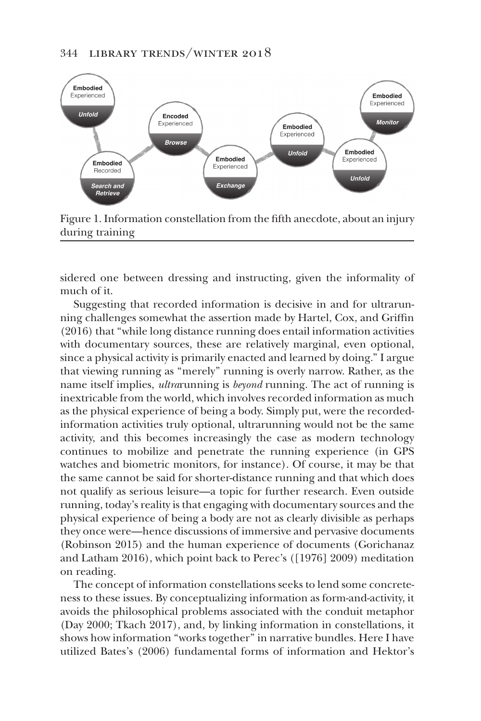

Figure 1. Information constellation from the fifth anecdote, about an injury during training

sidered one between dressing and instructing, given the informality of much of it.

Suggesting that recorded information is decisive in and for ultrarunning challenges somewhat the assertion made by Hartel, Cox, and Griffin (2016) that "while long distance running does entail information activities with documentary sources, these are relatively marginal, even optional, since a physical activity is primarily enacted and learned by doing." I argue that viewing running as "merely" running is overly narrow. Rather, as the name itself implies, *ultra*running is *beyond* running. The act of running is inextricable from the world, which involves recorded information as much as the physical experience of being a body. Simply put, were the recordedinformation activities truly optional, ultrarunning would not be the same activity, and this becomes increasingly the case as modern technology continues to mobilize and penetrate the running experience (in GPS watches and biometric monitors, for instance). Of course, it may be that the same cannot be said for shorter-distance running and that which does not qualify as serious leisure—a topic for further research. Even outside running, today's reality is that engaging with documentary sources and the physical experience of being a body are not as clearly divisible as perhaps they once were—hence discussions of immersive and pervasive documents (Robinson 2015) and the human experience of documents (Gorichanaz and Latham 2016), which point back to Perec's ([1976] 2009) meditation on reading.

The concept of information constellations seeks to lend some concreteness to these issues. By conceptualizing information as form-and-activity, it avoids the philosophical problems associated with the conduit metaphor (Day 2000; Tkach 2017), and, by linking information in constellations, it shows how information "works together" in narrative bundles. Here I have utilized Bates's (2006) fundamental forms of information and Hektor's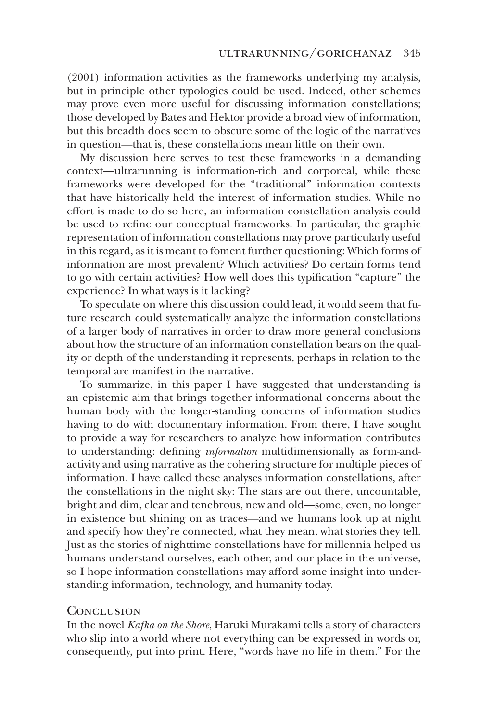(2001) information activities as the frameworks underlying my analysis, but in principle other typologies could be used. Indeed, other schemes may prove even more useful for discussing information constellations; those developed by Bates and Hektor provide a broad view of information, but this breadth does seem to obscure some of the logic of the narratives in question—that is, these constellations mean little on their own.

My discussion here serves to test these frameworks in a demanding context—ultrarunning is information-rich and corporeal, while these frameworks were developed for the "traditional" information contexts that have historically held the interest of information studies. While no effort is made to do so here, an information constellation analysis could be used to refine our conceptual frameworks. In particular, the graphic representation of information constellations may prove particularly useful in this regard, as it is meant to foment further questioning: Which forms of information are most prevalent? Which activities? Do certain forms tend to go with certain activities? How well does this typification "capture" the experience? In what ways is it lacking?

To speculate on where this discussion could lead, it would seem that future research could systematically analyze the information constellations of a larger body of narratives in order to draw more general conclusions about how the structure of an information constellation bears on the quality or depth of the understanding it represents, perhaps in relation to the temporal arc manifest in the narrative.

To summarize, in this paper I have suggested that understanding is an epistemic aim that brings together informational concerns about the human body with the longer-standing concerns of information studies having to do with documentary information. From there, I have sought to provide a way for researchers to analyze how information contributes to understanding: defining *information* multidimensionally as form-andactivity and using narrative as the cohering structure for multiple pieces of information. I have called these analyses information constellations, after the constellations in the night sky: The stars are out there, uncountable, bright and dim, clear and tenebrous, new and old—some, even, no longer in existence but shining on as traces—and we humans look up at night and specify how they're connected, what they mean, what stories they tell. Just as the stories of nighttime constellations have for millennia helped us humans understand ourselves, each other, and our place in the universe, so I hope information constellations may afford some insight into understanding information, technology, and humanity today.

### **CONCLUSION**

In the novel *Kafka on the Shore*, Haruki Murakami tells a story of characters who slip into a world where not everything can be expressed in words or, consequently, put into print. Here, "words have no life in them." For the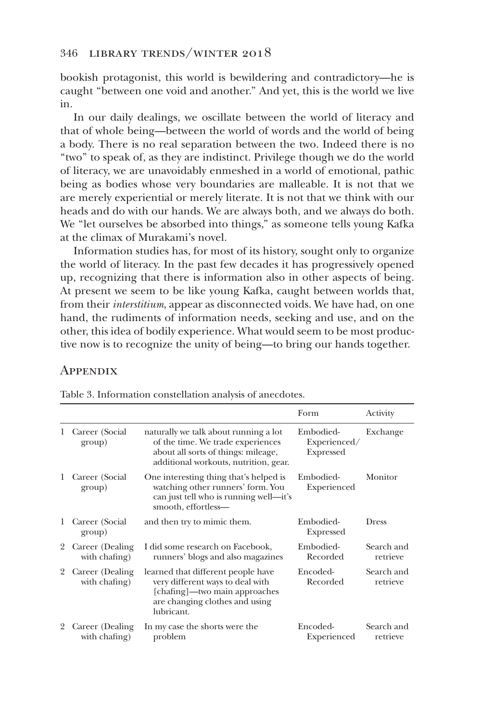bookish protagonist, this world is bewildering and contradictory—he is caught "between one void and another." And yet, this is the world we live in.

In our daily dealings, we oscillate between the world of literacy and that of whole being—between the world of words and the world of being a body. There is no real separation between the two. Indeed there is no "two" to speak of, as they are indistinct. Privilege though we do the world of literacy, we are unavoidably enmeshed in a world of emotional, pathic being as bodies whose very boundaries are malleable. It is not that we are merely experiential or merely literate. It is not that we think with our heads and do with our hands. We are always both, and we always do both. We "let ourselves be absorbed into things," as someone tells young Kafka at the climax of Murakami's novel.

Information studies has, for most of its history, sought only to organize the world of literacy. In the past few decades it has progressively opened up, recognizing that there is information also in other aspects of being. At present we seem to be like young Kafka, caught between worlds that, from their *interstitium*, appear as disconnected voids. We have had, on one hand, the rudiments of information needs, seeking and use, and on the other, this idea of bodily experience. What would seem to be most productive now is to recognize the unity of being—to bring our hands together.

### **APPENDIX**

|                |                                   |                                                                                                                                                            | Form                                   | Activity               |
|----------------|-----------------------------------|------------------------------------------------------------------------------------------------------------------------------------------------------------|----------------------------------------|------------------------|
| 1              | Career (Social<br>group)          | naturally we talk about running a lot<br>of the time. We trade experiences<br>about all sorts of things: mileage,<br>additional workouts, nutrition, gear. | Embodied-<br>Experienced/<br>Expressed | Exchange               |
| 1              | Career (Social<br>group)          | One interesting thing that's helped is<br>watching other runners' form. You<br>can just tell who is running well—it's<br>smooth, effortless-               | Embodied-<br>Experienced               | Monitor                |
| 1              | Career (Social<br>group)          | and then try to mimic them.                                                                                                                                | Embodied-<br>Expressed                 | <b>Dress</b>           |
| $\overline{2}$ | Career (Dealing)<br>with chafing) | I did some research on Facebook,<br>runners' blogs and also magazines                                                                                      | Embodied-<br>Recorded                  | Search and<br>retrieve |
|                | Career (Dealing<br>with chafing)  | learned that different people have<br>very different ways to deal with<br>[chafing]—two main approaches<br>are changing clothes and using<br>lubricant.    | Encoded-<br>Recorded                   | Search and<br>retrieve |
| $\overline{2}$ | Career (Dealing)<br>with chafing) | In my case the shorts were the<br>problem                                                                                                                  | Encoded-<br>Experienced                | Search and<br>retrieve |

Table 3*.* Information constellation analysis of anecdotes.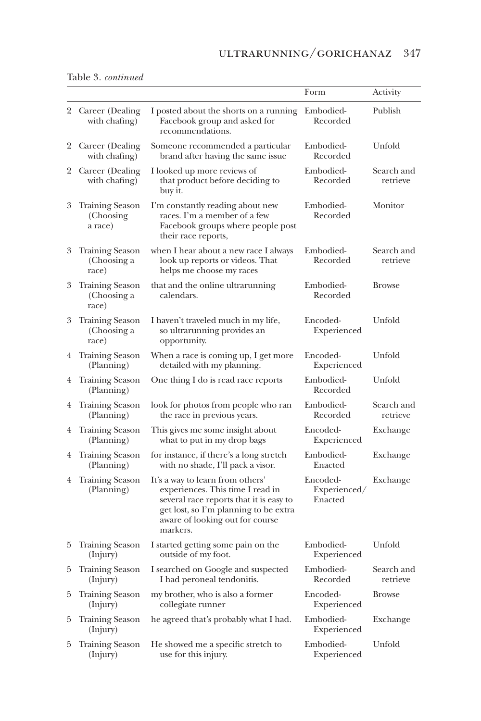|   |                                                 |                                                                                                                                                                                                         | Form                                | Activity               |
|---|-------------------------------------------------|---------------------------------------------------------------------------------------------------------------------------------------------------------------------------------------------------------|-------------------------------------|------------------------|
| 2 | Career (Dealing<br>with chafing)                | I posted about the shorts on a running<br>Facebook group and asked for<br>recommendations.                                                                                                              | Embodied-<br>Recorded               | Publish                |
| 2 | Career (Dealing<br>with chafing)                | Someone recommended a particular<br>brand after having the same issue                                                                                                                                   | Embodied-<br>Recorded               | Unfold                 |
| 2 | Career (Dealing<br>with chafing)                | I looked up more reviews of<br>that product before deciding to<br>buy it.                                                                                                                               | Embodied-<br>Recorded               | Search and<br>retrieve |
| 3 | <b>Training Season</b><br>(Choosing)<br>a race) | I'm constantly reading about new<br>races. I'm a member of a few<br>Facebook groups where people post<br>their race reports,                                                                            | Embodied-<br>Recorded               | Monitor                |
| 3 | <b>Training Season</b><br>(Choosing a<br>race)  | when I hear about a new race I always<br>look up reports or videos. That<br>helps me choose my races                                                                                                    | Embodied-<br>Recorded               | Search and<br>retrieve |
| 3 | <b>Training Season</b><br>(Choosing a<br>race)  | that and the online ultrarunning<br>calendars.                                                                                                                                                          | Embodied-<br>Recorded               | <b>Browse</b>          |
| 3 | <b>Training Season</b><br>(Choosing a<br>race)  | I haven't traveled much in my life,<br>so ultrarunning provides an<br>opportunity.                                                                                                                      | Encoded-<br>Experienced             | Unfold                 |
| 4 | <b>Training Season</b><br>(Planning)            | When a race is coming up, I get more<br>detailed with my planning.                                                                                                                                      | Encoded-<br>Experienced             | Unfold                 |
| 4 | <b>Training Season</b><br>(Planning)            | One thing I do is read race reports                                                                                                                                                                     | Embodied-<br>Recorded               | Unfold                 |
| 4 | <b>Training Season</b><br>(Planning)            | look for photos from people who ran<br>the race in previous years.                                                                                                                                      | Embodied-<br>Recorded               | Search and<br>retrieve |
| 4 | <b>Training Season</b><br>(Planning)            | This gives me some insight about<br>what to put in my drop bags                                                                                                                                         | Encoded-<br>Experienced             | Exchange               |
| 4 | Training Season<br>(Planning)                   | for instance, if there's a long stretch<br>with no shade, I'll pack a visor.                                                                                                                            | Embodied-<br>Enacted                | Exchange               |
|   | 4 Training Season<br>(Planning)                 | It's a way to learn from others'<br>experiences. This time I read in<br>several race reports that it is easy to<br>get lost, so I'm planning to be extra<br>aware of looking out for course<br>markers. | Encoded-<br>Experienced/<br>Enacted | Exchange               |
| 5 | <b>Training Season</b><br>(Injury)              | I started getting some pain on the<br>outside of my foot.                                                                                                                                               | Embodied-<br>Experienced            | Unfold                 |
| 5 | <b>Training Season</b><br>(Injury)              | I searched on Google and suspected<br>I had peroneal tendonitis.                                                                                                                                        | Embodied-<br>Recorded               | Search and<br>retrieve |
| 5 | <b>Training Season</b><br>(Injury)              | my brother, who is also a former<br>collegiate runner                                                                                                                                                   | Encoded-<br>Experienced             | Browse                 |
| 5 | <b>Training Season</b><br>(Injury)              | he agreed that's probably what I had.                                                                                                                                                                   | Embodied-<br>Experienced            | Exchange               |
| 5 | <b>Training Season</b><br>(Injury)              | He showed me a specific stretch to<br>use for this injury.                                                                                                                                              | Embodied-<br>Experienced            | Unfold                 |

#### Table 3*. continued*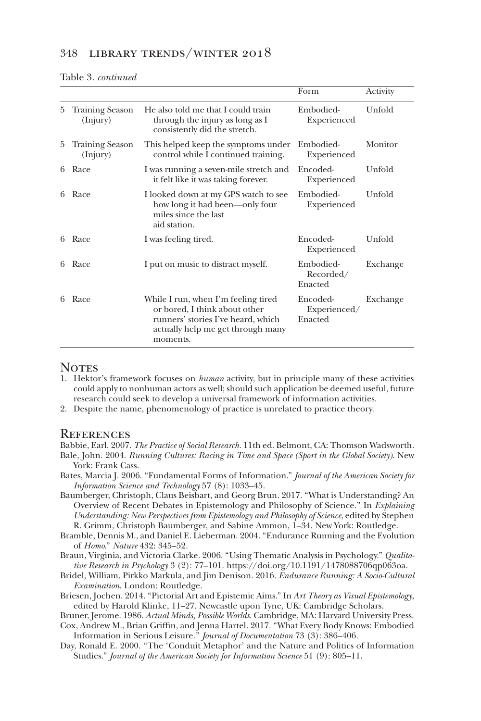|   |                                    |                                                                                                                                                             | Form                                | Activity |
|---|------------------------------------|-------------------------------------------------------------------------------------------------------------------------------------------------------------|-------------------------------------|----------|
| 5 | <b>Training Season</b><br>(Injury) | He also told me that I could train<br>through the injury as long as I<br>consistently did the stretch.                                                      | Embodied-<br>Experienced            | Unfold   |
| 5 | <b>Training Season</b><br>(Injury) | This helped keep the symptoms under<br>control while I continued training.                                                                                  | Embodied-<br>Experienced            | Monitor  |
| 6 | Race                               | I was running a seven-mile stretch and<br>it felt like it was taking forever.                                                                               | Encoded-<br>Experienced             | Unfold   |
| 6 | Race                               | I looked down at my GPS watch to see<br>how long it had been—only four<br>miles since the last<br>aid station.                                              | Embodied-<br>Experienced            | Unfold   |
| 6 | Race                               | I was feeling tired.                                                                                                                                        | Encoded-<br>Experienced             | Unfold   |
| 6 | Race                               | I put on music to distract myself.                                                                                                                          | Embodied-<br>Recorded/<br>Enacted   | Exchange |
| 6 | Race                               | While I run, when I'm feeling tired<br>or bored. I think about other<br>runners' stories I've heard, which<br>actually help me get through many<br>moments. | Encoded-<br>Experienced/<br>Enacted | Exchange |

#### Table 3*. continued*

#### **NOTES**

- 1. Hektor's framework focuses on *human* activity, but in principle many of these activities could apply to nonhuman actors as well; should such application be deemed useful, future research could seek to develop a universal framework of information activities.
- 2. Despite the name, phenomenology of practice is unrelated to practice theory.

#### **REFERENCES**

Babbie, Earl. 2007. *The Practice of Social Research.* 11th ed. Belmont, CA: Thomson Wadsworth. Bale, John. 2004. *Running Cultures: Racing in Time and Space (Sport in the Global Society)*. New York: Frank Cass.

- Bates, Marcia J. 2006. "Fundamental Forms of Information." *Journal of the American Society for Information Science and Technology* 57 (8): 1033–45.
- Baumberger, Christoph, Claus Beisbart, and Georg Brun. 2017. "What is Understanding? An Overview of Recent Debates in Epistemology and Philosophy of Science." In *Explaining Understanding: New Perspectives from Epistemology and Philosophy of Science*, edited by Stephen R. Grimm, Christoph Baumberger, and Sabine Ammon, 1–34. New York: Routledge.
- Bramble, Dennis M., and Daniel E. Lieberman. 2004. "Endurance Running and the Evolution of *Homo*." *Nature* 432: 345–52.
- Braun, Virginia, and Victoria Clarke. 2006. "Using Thematic Analysis in Psychology." *Qualitative Research in Psychology* 3 (2): 77–101. https://doi.org/10.1191/1478088706qp063oa.
- Bridel, William, Pirkko Markula, and Jim Denison. 2016. *Endurance Running: A Socio-Cultural Examination*. London: Routledge.
- Briesen, Jochen. 2014. "Pictorial Art and Epistemic Aims." In *Art Theory as Visual Epistemology*, edited by Harold Klinke, 11–27. Newcastle upon Tyne, UK: Cambridge Scholars.
- Bruner, Jerome. 1986. *Actual Minds, Possible Worlds*. Cambridge, MA: Harvard University Press.
- Cox, Andrew M., Brian Griffin, and Jenna Hartel. 2017. "What Every Body Knows: Embodied Information in Serious Leisure." *Journal of Documentation* 73 (3): 386–406.
- Day, Ronald E. 2000. "The 'Conduit Metaphor' and the Nature and Politics of Information Studies." *Journal of the American Society for Information Science* 51 (9): 805–11.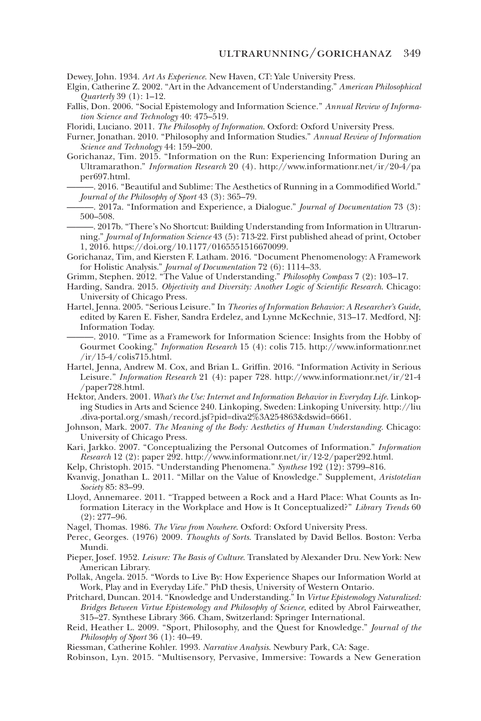Dewey, John. 1934. *Art As Experience*. New Haven, CT: Yale University Press.

- Elgin, Catherine Z. 2002. "Art in the Advancement of Understanding." *American Philosophical Quarterly* 39 (1): 1–12.
- Fallis, Don. 2006. "Social Epistemology and Information Science." *Annual Review of Information Science and Technology* 40: 475–519.
- Floridi, Luciano. 2011. *The Philosophy of Information*. Oxford: Oxford University Press.
- Furner, Jonathan. 2010. "Philosophy and Information Studies." *Annual Review of Information Science and Technology* 44: 159–200.
- Gorichanaz, Tim. 2015. "Information on the Run: Experiencing Information During an Ultramarathon." *Information Research* 20 (4). http://www.informationr.net/ir/20-4/pa per697.html.
	- ———. 2016. "Beautiful and Sublime: The Aesthetics of Running in a Commodified World." *Journal of the Philosophy of Sport* 43 (3): 365–79.
	- ———. 2017a. "Information and Experience, a Dialogue." *Journal of Documentation* 73 (3): 500–508.
	- ———. 2017b. "There's No Shortcut: Building Understanding from Information in Ultrarunning." *Journal of Information Science* 43 (5): 713-22. First published ahead of print, October 1, 2016. https://doi.org/10.1177/0165551516670099.
- Gorichanaz, Tim, and Kiersten F. Latham. 2016. "Document Phenomenology: A Framework for Holistic Analysis." *Journal of Documentation* 72 (6): 1114–33.
- Grimm, Stephen. 2012. "The Value of Understanding." *Philosophy Compass* 7 (2): 103–17.
- Harding, Sandra. 2015. *Objectivity and Diversity: Another Logic of Scientific Research*. Chicago: University of Chicago Press.
- Hartel, Jenna. 2005. "Serious Leisure." In *Theories of Information Behavior: A Researcher's Guide*, edited by Karen E. Fisher, Sandra Erdelez, and Lynne McKechnie, 313–17. Medford, NJ: Information Today.

———. 2010. "Time as a Framework for Information Science: Insights from the Hobby of Gourmet Cooking." *Information Research* 15 (4): colis 715. http://www.informationr.net  $/ir/15-4$ /colis715.html.

- Hartel, Jenna, Andrew M. Cox, and Brian L. Griffin. 2016. "Information Activity in Serious Leisure." *Information Research* 21 (4): paper 728. http://www.informationr.net/ir/21-4 /paper728.html.
- Hektor, Anders. 2001. *What's the Use: Internet and Information Behavior in Everyday Life*. Linkoping Studies in Arts and Science 240. Linkoping, Sweden: Linkoping University. http://liu .diva-portal.org/smash/record.jsf?pid=diva2%3A254863&dswid=6661.
- Johnson, Mark. 2007. *The Meaning of the Body: Aesthetics of Human Understanding*. Chicago: University of Chicago Press.
- Kari, Jarkko. 2007. "Conceptualizing the Personal Outcomes of Information." *Information Research* 12 (2): paper 292. http://www.informationr.net/ir/12-2/paper292.html.
- Kelp, Christoph. 2015. "Understanding Phenomena." *Synthese* 192 (12): 3799–816.
- Kvanvig, Jonathan L. 2011. "Millar on the Value of Knowledge." Supplement, *Aristotelian Society* 85: 83–99.
- Lloyd, Annemaree. 2011. "Trapped between a Rock and a Hard Place: What Counts as Information Literacy in the Workplace and How is It Conceptualized?" *Library Trends* 60 (2): 277–96.
- Nagel, Thomas. 1986. *The View from Nowhere*. Oxford: Oxford University Press.
- Perec, Georges. (1976) 2009. *Thoughts of Sorts*. Translated by David Bellos. Boston: Verba Mundi.
- Pieper, Josef. 1952. *Leisure: The Basis of Culture*. Translated by Alexander Dru. New York: New American Library.
- Pollak, Angela. 2015. "Words to Live By: How Experience Shapes our Information World at Work, Play and in Everyday Life." PhD thesis, University of Western Ontario.
- Pritchard, Duncan. 2014. "Knowledge and Understanding." In *Virtue Epistemology Naturalized: Bridges Between Virtue Epistemology and Philosophy of Science*, edited by Abrol Fairweather, 315–27. Synthese Library 366. Cham, Switzerland: Springer International.
- Reid, Heather L. 2009. "Sport, Philosophy, and the Quest for Knowledge." *Journal of the Philosophy of Sport* 36 (1): 40–49.
- Riessman, Catherine Kohler. 1993. *Narrative Analysis*. Newbury Park, CA: Sage.

Robinson, Lyn. 2015. "Multisensory, Pervasive, Immersive: Towards a New Generation